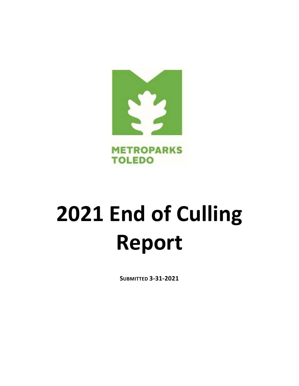

# **2021 End of Culling Report**

**SUBMITTED 3-31-2021**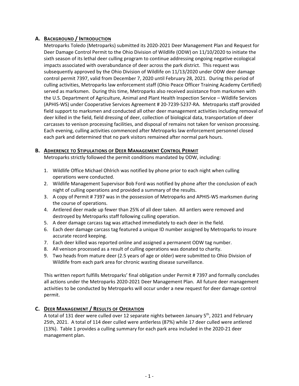## **A. BACKGROUND / INTRODUCTION**

Metroparks Toledo (Metroparks) submitted its 2020-2021 Deer Management Plan and Request for Deer Damage Control Permit to the Ohio Division of Wildlife (ODW) on 11/10/2020 to initiate the sixth season of its lethal deer culling program to continue addressing ongoing negative ecological impacts associated with overabundance of deer across the park district. This request was subsequently approved by the Ohio Division of Wildlife on 11/13/2020 under ODW deer damage control permit 7397, valid from December 7, 2020 until February 28, 2021. During this period of culling activities, Metroparks law enforcement staff (Ohio Peace Officer Training Academy Certified) served as marksmen. During this time, Metroparks also received assistance from marksmen with the U.S. Department of Agriculture, Animal and Plant Health Inspection Service – Wildlife Services (APHIS-WS) under Cooperative Services Agreement # 20-7239-5237-RA. Metroparks staff provided field support to marksmen and conducted all other deer management activities including removal of deer killed in the field, field dressing of deer, collection of biological data, transportation of deer carcasses to venison processing facilities, and disposal of remains not taken for venison processing. Each evening, culling activities commenced after Metroparks law enforcement personnel closed each park and determined that no park visitors remained after normal park hours.

## **B. ADHERENCE TO STIPULATIONS OF DEER MANAGEMENT CONTROL PERMIT**

Metroparks strictly followed the permit conditions mandated by ODW, including:

- 1. Wildlife Office Michael Ohlrich was notified by phone prior to each night when culling operations were conducted.
- 2. Wildlife Management Supervisor Bob Ford was notified by phone after the conclusion of each night of culling operations and provided a summary of the results.
- 3. A copy of Permit # 7397 was in the possession of Metroparks and APHIS-WS marksmen during the course of operations.
- 4. Antlered deer made up fewer than 25% of all deer taken. All antlers were removed and destroyed by Metroparks staff following culling operation.
- 5. A deer damage carcass tag was attached immediately to each deer in the field.
- 6. Each deer damage carcass tag featured a unique ID number assigned by Metroparks to insure accurate record keeping.
- 7. Each deer killed was reported online and assigned a permanent ODW tag number.
- 8. All venison processed as a result of culling operations was donated to charity.
- 9. Two heads from mature deer (2.5 years of age or older) were submitted to Ohio Division of Wildlife from each park area for chronic wasting disease surveillance.

This written report fulfills Metroparks' final obligation under Permit # 7397 and formally concludes all actions under the Metroparks 2020-2021 Deer Management Plan. All future deer management activities to be conducted by Metroparks will occur under a new request for deer damage control permit.

## **C. DEER MANAGEMENT / RESULTS OF OPERATION**

A total of 131 deer were culled over 12 separate nights between January  $5<sup>th</sup>$ , 2021 and February 25th, 2021. A total of 114 deer culled were antlerless (87%) while 17 deer culled were antlered (13%). Table 1 provides a culling summary for each park area included in the 2020-21 deer management plan.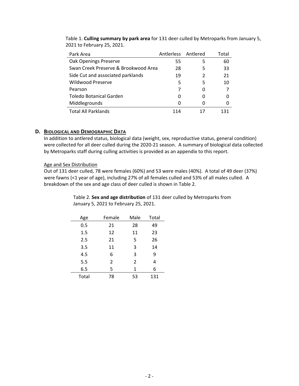| Park Area                            | Antlerless Antlered |   | Total |
|--------------------------------------|---------------------|---|-------|
| Oak Openings Preserve                | 55                  | 5 | 60    |
| Swan Creek Preserve & Brookwood Area | 28                  | 5 | 33    |
| Side Cut and associated parklands    | 19                  | 2 | 21    |
| Wildwood Preserve                    | 5                   | 5 | 10    |
| Pearson                              |                     |   |       |
| Toledo Botanical Garden              |                     |   |       |
| Middlegrounds                        |                     |   |       |
| <b>Total All Parklands</b>           | 114                 |   |       |

Table 1. **Culling summary by park area** for 131 deer culled by Metroparks from January 5, 2021 to February 25, 2021.

#### **D. BIOLOGICAL AND DEMOGRAPHIC DATA**

In addition to antlered status, biological data (weight, sex, reproductive status, general condition) were collected for all deer culled during the 2020-21 season. A summary of biological data collected by Metroparks staff during culling activities is provided as an appendix to this report.

#### Age and Sex Distribution

Out of 131 deer culled, 78 were females (60%) and 53 were males (40%). A total of 49 deer (37%) were fawns (<1 year of age), including 27% of all females culled and 53% of all males culled. A breakdown of the sex and age class of deer culled is shown in Table 2.

> Table 2. **Sex and age distribution** of 131 deer culled by Metroparks from January 5, 2021 to February 25, 2021.

| Age   | Female         | Male | Total |
|-------|----------------|------|-------|
| 0.5   | 21             | 28   | 49    |
| 1.5   | 12             | 11   | 23    |
| 2.5   | 21             | 5    | 26    |
| 3.5   | 11             | 3    | 14    |
| 4.5   | 6              | 3    | 9     |
| 5.5   | $\overline{2}$ | 2    | 4     |
| 6.5   | 5              | 1    | 6     |
| Total | 78             | 53   | 131   |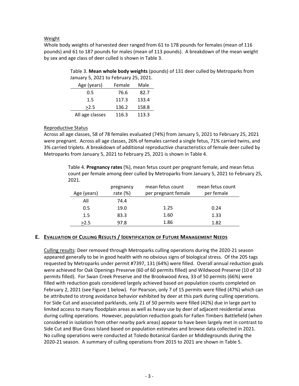#### Weight

Whole body weights of harvested deer ranged from 61 to 178 pounds for females (mean of 116 pounds) and 61 to 187 pounds for males (mean of 113 pounds). A breakdown of the mean weight by sex and age class of deer culled is shown in Table 3.

> Table 3. **Mean whole body weights** (pounds) of 131 deer culled by Metroparks from January 5, 2021 to February 25, 2021.

| Age (years)     | Female | Male  |  |  |  |  |
|-----------------|--------|-------|--|--|--|--|
| 0.5             | 76.6   | 82.7  |  |  |  |  |
| 1.5             | 117.3  | 133.4 |  |  |  |  |
| >2.5            | 136.2  | 158.8 |  |  |  |  |
| All age classes | 116.3  | 113.3 |  |  |  |  |
|                 |        |       |  |  |  |  |

#### Reproductive Status

Across all age classes, 58 of 78 females evaluated (74%) from January 5, 2021 to February 25, 2021 were pregnant. Across all age classes, 26% of females carried a single fetus, 71% carried twins, and 3% carried triplets. A breakdown of additional reproductive characteristics of female deer culled by Metroparks from January 5, 2021 to February 25, 2021 is shown in Table 4.

> Table 4. **Pregnancy rates** (%), mean fetus count per pregnant female, and mean fetus count per female among deer culled by Metroparks from January 5, 2021 to February 25, 2021.

| Age (years) | pregnancy<br>rate $(\%)$ | mean fetus count<br>per pregnant female | mean fetus count<br>per female |
|-------------|--------------------------|-----------------------------------------|--------------------------------|
| All         | 74.4                     |                                         |                                |
| 0.5         | 19.0                     | 1.25                                    | 0.24                           |
| 1.5         | 83.3                     | 1.60                                    | 1.33                           |
| >2.5        | 97.8                     | 1.86                                    | 1.82                           |

## **E. EVALUATION OF CULLING RESULTS / IDENTIFICATION OF FUTURE MANAGEMENT NEEDS**

Culling results: Deer removed through Metroparks culling operations during the 2020-21 season appeared generally to be in good health with no obvious signs of biological stress. Of the 205 tags requested by Metroparks under permit #7397, 131 (64%) were filled. Overall annual reduction goals were achieved for Oak Openings Preserve (60 of 60 permits filled) and Wildwood Preserve (10 of 10 permits filled). For Swan Creek Preserve and the Brookwood Area, 33 of 50 permits (66%) were filled with reduction goals considered largely achieved based on population counts completed on February 2, 2021 (see Figure 1 below). For Pearson, only 7 of 15 permits were filled (47%) which can be attributed to strong avoidance behavior exhibited by deer at this park during culling operations. For Side Cut and associated parklands, only 21 of 50 permits were filled (42%) due in large part to limited access to many floodplain areas as well as heavy use by deer of adjacent residential areas during culling operations. However, population reduction goals for Fallen Timbers Battlefield (when considered in isolation from other nearby park areas) appear to have been largely met in contrast to Side Cut and Blue Grass Island based on population estimates and browse data collected in 2021. No culling operations were conducted at Toledo Botanical Garden or Middlegrounds during the 2020-21 season. A summary of culling operations from 2015 to 2021 are shown in Table 5.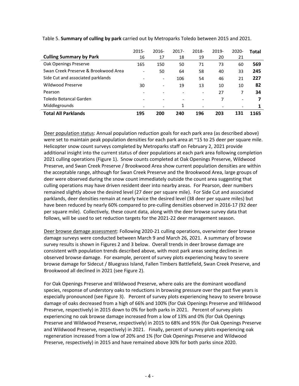|                                      | $2015 -$                 | 2016-                    | $2017 -$ | 2018-                        | 2019- | 2020-                        | Total |
|--------------------------------------|--------------------------|--------------------------|----------|------------------------------|-------|------------------------------|-------|
| <b>Culling Summary by Park</b>       | 16                       | 17                       | 18       | 19                           | 20    | 21                           |       |
| Oak Openings Preserve                | 165                      | 150                      | 50       | 71                           | 73    | 60                           | 569   |
| Swan Creek Preserve & Brookwood Area | $\overline{\phantom{a}}$ | 50                       | 64       | 58                           | 40    | 33                           | 245   |
| Side Cut and associated parklands    | $\overline{\phantom{a}}$ | $\overline{\phantom{0}}$ | 106      | 54                           | 46    | 21                           | 227   |
| Wildwood Preserve                    | 30                       | $\overline{\phantom{0}}$ | 19       | 13                           | 10    | 10                           | 82    |
| Pearson                              | $\overline{\phantom{a}}$ |                          |          | $\overline{\phantom{a}}$     | 27    | 7                            | 34    |
| Toledo Botancal Garden               | $\overline{\phantom{a}}$ |                          |          | $\qquad \qquad \blacksquare$ | 7     | $\overline{\phantom{a}}$     |       |
| Middlegrounds                        |                          | -                        | 1        |                              |       | $\qquad \qquad \blacksquare$ |       |
| <b>Total All Parklands</b>           | 195                      | 200                      | 240      | 196                          | 203   | 131                          | 1165  |

Table 5. **Summary of culling by park** carried out by Metroparks Toledo between 2015 and 2021.

Deer population status: Annual population reduction goals for each park area (as described above) were set to maintain peak population densities for each park area at ~15 to 25 deer per square mile. Helicopter snow count surveys completed by Metroparks staff on February 2, 2021 provide additional insight into the current status of deer populations at each park area following completion 2021 culling operations (Figure 1). Snow counts completed at Oak Openings Preserve, Wildwood Preserve, and Swan Creek Preserve / Brookwood Area show current population densities are within the acceptable range, although for Swan Creek Preserve and the Brookwood Area, large groups of deer were observed during the snow count immediately outside the count area suggesting that culling operations may have driven resident deer into nearby areas. For Pearson, deer numbers remained slightly above the desired level (27 deer per square mile). For Side Cut and associated parklands, deer densities remain at nearly twice the desired level (38 deer per square miles) but have been reduced by nearly 60% compared to pre-culling densities observed in 2016-17 (92 deer per square mile). Collectively, these count data, along with the deer browse survey data that follows, will be used to set reduction targets for the 2021-22 deer management season.

Deer browse damage assessment: Following 2020-21 culling operations, overwinter deer browse damage surveys were conducted between March 9 and March 26, 2021. A summary of browse survey results is shown in Figures 2 and 3 below. Overall trends in deer browse damage are consistent with population trends described above, with most park areas seeing declines in observed browse damage. For example, percent of survey plots experiencing heavy to severe browse damage for Sidecut / Bluegrass Island, Fallen Timbers Battlefield, Swan Creek Preserve, and Brookwood all declined in 2021 (see Figure 2).

For Oak Openings Preserve and Wildwood Preserve, where oaks are the dominant woodland species, response of understory oaks to reductions in browsing pressure over the past five years is especially pronounced (see Figure 3). Percent of survey plots experiencing heavy to severe browse damage of oaks decreased from a high of 66% and 100% (for Oak Openings Preserve and Wildwood Preserve, respectively) in 2015 down to 0% for both parks in 2021. Percent of survey plots experiencing no oak browse damage increased from a low of 13% and 0% (for Oak Openings Preserve and Wildwood Preserve, respectively) in 2015 to 68% and 95% (for Oak Openings Preserve and Wildwood Preserve, respectively) in 2021. Finally, percent of survey plots experiencing oak regeneration increased from a low of 20% and 1% (for Oak Openings Preserve and Wildwood Preserve, respectively) in 2015 and have remained above 30% for both parks since 2020.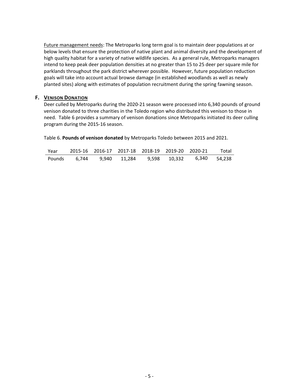Future management needs: The Metroparks long term goal is to maintain deer populations at or below levels that ensure the protection of native plant and animal diversity and the development of high quality habitat for a variety of native wildlife species. As a general rule, Metroparks managers intend to keep peak deer population densities at no greater than 15 to 25 deer per square mile for parklands throughout the park district wherever possible. However, future population reduction goals will take into account actual browse damage (in established woodlands as well as newly planted sites) along with estimates of population recruitment during the spring fawning season.

#### **F. VENISON DONATION**

Deer culled by Metroparks during the 2020-21 season were processed into 6,340 pounds of ground venison donated to three charities in the Toledo region who distributed this venison to those in need. Table 6 provides a summary of venison donations since Metroparks initiated its deer culling program during the 2015-16 season.

Table 6. **Pounds of venison donated** by Metroparks Toledo between 2015 and 2021.

| Year |  |  | 2015-16 2016-17 2017-18 2018-19 2019-20 2020-21     | Total |
|------|--|--|-----------------------------------------------------|-------|
|      |  |  | Pounds 6,744 9,940 11,284 9,598 10,332 6,340 54,238 |       |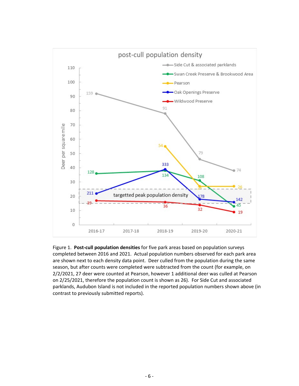

Figure 1. **Post-cull population densities** for five park areas based on population surveys completed between 2016 and 2021. Actual population numbers observed for each park area are shown next to each density data point. Deer culled from the population during the same season, but after counts were completed were subtracted from the count (for example, on 2/2/2021, 27 deer were counted at Pearson, however 1 additional deer was culled at Pearson on 2/25/2021, therefore the population count is shown as 26). For Side Cut and associated parklands, Audubon Island is not included in the reported population numbers shown above (in contrast to previously submitted reports).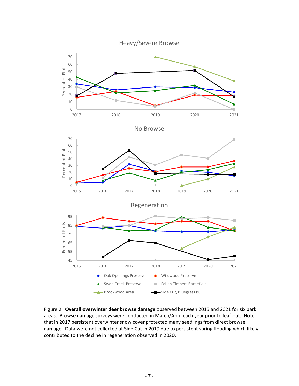

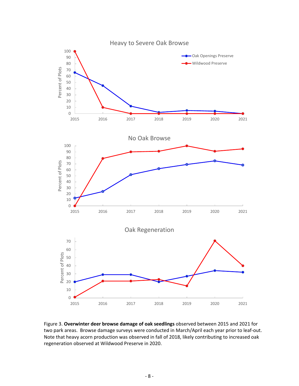

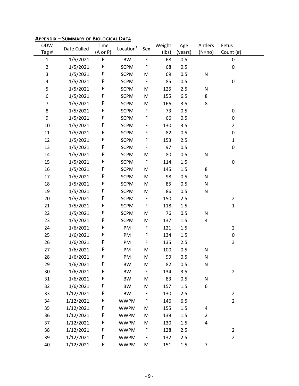| ODW            | Date Culled | Time      | Location <sup>1</sup> | Sex         | Weight | Age     | Antlers        | Fetus          |  |
|----------------|-------------|-----------|-----------------------|-------------|--------|---------|----------------|----------------|--|
| Tag #          |             | (A or P)  |                       |             | (lbs)  | (years) | $(N=no)$       | Count (#)      |  |
| $\mathbf 1$    | 1/5/2021    | ${\sf P}$ | <b>BW</b>             | $\mathsf F$ | 68     | 0.5     |                | 0              |  |
| $\overline{c}$ | 1/5/2021    | P         | <b>SCPM</b>           | F           | 68     | 0.5     |                | $\pmb{0}$      |  |
| 3              | 1/5/2021    | P         | <b>SCPM</b>           | M           | 69     | 0.5     | ${\sf N}$      |                |  |
| 4              | 1/5/2021    | P         | <b>SCPM</b>           | $\mathsf F$ | 85     | 0.5     |                | $\pmb{0}$      |  |
| 5              | 1/5/2021    | P         | <b>SCPM</b>           | M           | 125    | 2.5     | ${\sf N}$      |                |  |
| 6              | 1/5/2021    | P         | <b>SCPM</b>           | ${\sf M}$   | 155    | 6.5     | $\bf 8$        |                |  |
| $\overline{7}$ | 1/5/2021    | P         | <b>SCPM</b>           | M           | 166    | 3.5     | $\bf 8$        |                |  |
| 8              | 1/5/2021    | P         | <b>SCPM</b>           | $\mathsf F$ | 73     | 0.5     |                | 0              |  |
| 9              | 1/5/2021    | P         | <b>SCPM</b>           | F           | 66     | 0.5     |                | 0              |  |
| 10             | 1/5/2021    | P         | <b>SCPM</b>           | F           | 130    | 3.5     |                | $\overline{2}$ |  |
| 11             | 1/5/2021    | P         | <b>SCPM</b>           | F           | 82     | 0.5     |                | $\pmb{0}$      |  |
| 12             | 1/5/2021    | P         | <b>SCPM</b>           | F           | 153    | 2.5     |                | $\mathbf{1}$   |  |
| 13             | 1/5/2021    | P         | <b>SCPM</b>           | F           | 97     | 0.5     |                | $\pmb{0}$      |  |
| 14             | 1/5/2021    | P         | <b>SCPM</b>           | M           | 80     | 0.5     | ${\sf N}$      |                |  |
| 15             | 1/5/2021    | P         | <b>SCPM</b>           | F           | 114    | 1.5     |                | $\pmb{0}$      |  |
| 16             | 1/5/2021    | P         | <b>SCPM</b>           | M           | 145    | 1.5     | $\bf 8$        |                |  |
| 17             | 1/5/2021    | P         | <b>SCPM</b>           | M           | 98     | 0.5     | ${\sf N}$      |                |  |
| 18             | 1/5/2021    | P         | <b>SCPM</b>           | M           | 85     | 0.5     | ${\sf N}$      |                |  |
| 19             | 1/5/2021    | P         | <b>SCPM</b>           | M           | 86     | 0.5     | ${\sf N}$      |                |  |
| 20             | 1/5/2021    | P         | <b>SCPM</b>           | $\mathsf F$ | 150    | 2.5     |                | $\overline{2}$ |  |
| 21             | 1/5/2021    | P         | <b>SCPM</b>           | F           | 118    | 1.5     |                | $\mathbf{1}$   |  |
| 22             | 1/5/2021    | P         | <b>SCPM</b>           | M           | 76     | 0.5     | ${\sf N}$      |                |  |
| 23             | 1/5/2021    | P         | <b>SCPM</b>           | M           | 137    | 1.5     | 4              |                |  |
| 24             | 1/6/2021    | P         | PM                    | F           | 121    | $1.5\,$ |                | $\overline{2}$ |  |
| 25             | 1/6/2021    | P         | PM                    | F           | 134    | 1.5     |                | $\pmb{0}$      |  |
| 26             | 1/6/2021    | P         | PM                    | F           | 135    | 2.5     |                | 3              |  |
| 27             | 1/6/2021    | P         | PM                    | M           | 100    | 0.5     | ${\sf N}$      |                |  |
| 28             | 1/6/2021    | P         | PM                    | M           | 99     | 0.5     | ${\sf N}$      |                |  |
| 29             | 1/6/2021    | P         | <b>BW</b>             | M           | 82     | 0.5     | $\mathsf{N}$   |                |  |
| 30             | 1/6/2021    | P         | <b>BW</b>             | F           | 134    | 3.5     |                | $\mathbf 2$    |  |
| 31             | 1/6/2021    | P         | <b>BW</b>             | M           | 83     | 0.5     | ${\sf N}$      |                |  |
| 32             | 1/6/2021    | P         | <b>BW</b>             | M           | 157    | 1.5     | 6              |                |  |
| 33             | 1/12/2021   | P         | <b>BW</b>             | F           | 130    | 2.5     |                | $\overline{2}$ |  |
| 34             | 1/12/2021   | P         | <b>WWPM</b>           | F           | 146    | 6.5     |                | $\overline{2}$ |  |
| 35             | 1/12/2021   | P         | <b>WWPM</b>           | M           | 155    | 1.5     | 4              |                |  |
| 36             | 1/12/2021   | P         | <b>WWPM</b>           | M           | 139    | 1.5     | $\overline{2}$ |                |  |
| 37             | 1/12/2021   | P         | <b>WWPM</b>           | M           | 130    | 1.5     | 4              |                |  |
| 38             | 1/12/2021   | P         | <b>WWPM</b>           | F           | 128    | 2.5     |                | $\overline{2}$ |  |
| 39             | 1/12/2021   | P         | <b>WWPM</b>           | F           | 132    | 2.5     |                | $\overline{2}$ |  |
| 40             | 1/12/2021   | P         | <b>WWPM</b>           | M           | 151    | 1.5     | 7              |                |  |
|                |             |           |                       |             |        |         |                |                |  |

# **APPENDIX – SUMMARY OF BIOLOGICAL DATA**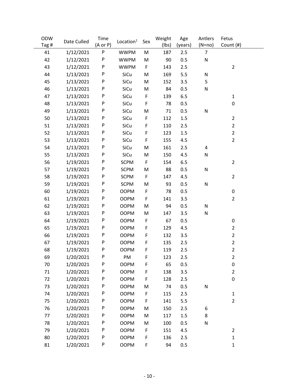| ODW   | Date Culled | Time     | Location <sup>1</sup> | Sex         | Weight      | Age     | Antlers        | Fetus          |
|-------|-------------|----------|-----------------------|-------------|-------------|---------|----------------|----------------|
| Tag # |             | (A or P) |                       |             | $($ lbs $)$ | (years) | $(N=no)$       | Count (#)      |
| 41    | 1/12/2021   | P        | <b>WWPM</b>           | M           | 187         | 2.5     | $\overline{7}$ |                |
| 42    | 1/12/2021   | P        | <b>WWPM</b>           | M           | 90          | 0.5     | ${\sf N}$      |                |
| 43    | 1/12/2021   | P        | <b>WWPM</b>           | F           | 143         | 2.5     |                | $\overline{2}$ |
| 44    | 1/13/2021   | P        | SiCu                  | M           | 169         | 5.5     | N              |                |
| 45    | 1/13/2021   | P        | SiCu                  | M           | 152         | 3.5     | 5              |                |
| 46    | 1/13/2021   | P        | SiCu                  | M           | 84          | 0.5     | ${\sf N}$      |                |
| 47    | 1/13/2021   | P        | SiCu                  | $\mathsf F$ | 139         | 6.5     |                | $\mathbf{1}$   |
| 48    | 1/13/2021   | P        | SiCu                  | F           | 78          | 0.5     |                | 0              |
| 49    | 1/13/2021   | P        | SiCu                  | M           | 71          | 0.5     | ${\sf N}$      |                |
| 50    | 1/13/2021   | P        | SiCu                  | $\mathsf F$ | 112         | 1.5     |                | $\overline{2}$ |
| 51    | 1/13/2021   | P        | SiCu                  | $\mathsf F$ | 110         | 2.5     |                | $\overline{2}$ |
| 52    | 1/13/2021   | P        | SiCu                  | $\mathsf F$ | 123         | 1.5     |                | $\overline{2}$ |
| 53    | 1/13/2021   | P        | SiCu                  | $\mathsf F$ | 155         | 4.5     |                | $\overline{2}$ |
| 54    | 1/13/2021   | P        | SiCu                  | M           | 161         | 2.5     | 4              |                |
| 55    | 1/13/2021   | P        | SiCu                  | M           | 150         | 4.5     | N              |                |
| 56    | 1/19/2021   | P        | <b>SCPM</b>           | F           | 154         | 6.5     |                | $\overline{2}$ |
| 57    | 1/19/2021   | P        | <b>SCPM</b>           | M           | 88          | 0.5     | ${\sf N}$      |                |
| 58    | 1/19/2021   | P        | <b>SCPM</b>           | F           | 147         | 4.5     |                | $\overline{2}$ |
| 59    | 1/19/2021   | P        | <b>SCPM</b>           | M           | 93          | 0.5     | ${\sf N}$      |                |
| 60    | 1/19/2021   | P        | <b>OOPM</b>           | F           | 78          | 0.5     |                | 0              |
| 61    | 1/19/2021   | P        | <b>OOPM</b>           | F           | 141         | 3.5     |                | $\overline{2}$ |
| 62    | 1/19/2021   | P        | <b>OOPM</b>           | M           | 94          | 0.5     | N              |                |
| 63    | 1/19/2021   | P        | <b>OOPM</b>           | M           | 147         | 3.5     | N              |                |
| 64    | 1/19/2021   | P        | <b>OOPM</b>           | F           | 67          | 0.5     |                | 0              |
| 65    | 1/19/2021   | P        | <b>OOPM</b>           | $\mathsf F$ | 129         | 4.5     |                | $\overline{2}$ |
| 66    | 1/19/2021   | P        | <b>OOPM</b>           | F           | 132         | 3.5     |                | $\overline{2}$ |
| 67    | 1/19/2021   | P        | <b>OOPM</b>           | F           | 135         | 2.5     |                | $\overline{2}$ |
| 68    | 1/19/2021   | P        | <b>OOPM</b>           | F           | 119         | 2.5     |                | $\overline{2}$ |
| 69    | 1/20/2021   | P        | PM                    | F           | 123         | 2.5     |                | $\overline{2}$ |
| 70    | 1/20/2021   | P        | <b>OOPM</b>           | F           | 65          | 0.5     |                | $\pmb{0}$      |
| 71    | 1/20/2021   | P        | <b>OOPM</b>           | F           | 138         | 3.5     |                | $\overline{2}$ |
| 72    | 1/20/2021   | P        | <b>OOPM</b>           | F           | 128         | 2.5     |                | 0              |
| 73    | 1/20/2021   | P        | <b>OOPM</b>           | M           | 74          | 0.5     | N              |                |
| 74    | 1/20/2021   | P        | <b>OOPM</b>           | F           | 115         | 2.5     |                | $\mathbf{1}$   |
| 75    | 1/20/2021   | P        | <b>OOPM</b>           | F           | 141         | 5.5     |                | $\overline{2}$ |
| 76    | 1/20/2021   | P        | <b>OOPM</b>           | M           | 150         | 2.5     | 6              |                |
| 77    | 1/20/2021   | P        | <b>OOPM</b>           | M           | 117         | 1.5     | 8              |                |
| 78    | 1/20/2021   | P        | <b>OOPM</b>           | M           | 100         | 0.5     | N              |                |
| 79    | 1/20/2021   | P        | <b>OOPM</b>           | F           | 151         | 4.5     |                | $\overline{2}$ |
| 80    | 1/20/2021   | P        | <b>OOPM</b>           | F           | 136         | 2.5     |                | $\mathbf{1}$   |
| 81    | 1/20/2021   | P        | <b>OOPM</b>           | F           | 94          | 0.5     |                | 1              |
|       |             |          |                       |             |             |         |                |                |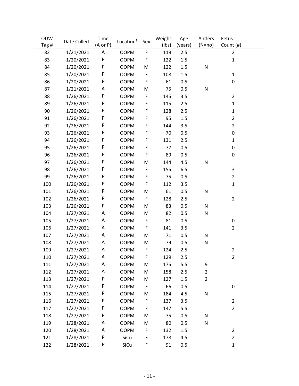| ODW   | Date Culled | Time     | Location <sup>1</sup> | Sex         | Weight | Age     | Antlers        | Fetus            |
|-------|-------------|----------|-----------------------|-------------|--------|---------|----------------|------------------|
| Tag # |             | (A or P) |                       |             | (lbs)  | (years) | $(N=no)$       | Count (#)        |
| 82    | 1/21/2021   | A        | <b>OOPM</b>           | $\mathsf F$ | 119    | 2.5     |                | $\overline{2}$   |
| 83    | 1/20/2021   | P        | <b>OOPM</b>           | F           | 122    | 1.5     |                | $\mathbf 1$      |
| 84    | 1/20/2021   | P        | <b>OOPM</b>           | M           | 122    | 1.5     | $\mathsf{N}$   |                  |
| 85    | 1/20/2021   | P        | <b>OOPM</b>           | F           | 108    | 1.5     |                | $\mathbf{1}$     |
| 86    | 1/20/2021   | P        | <b>OOPM</b>           | F           | 61     | 0.5     |                | $\mathbf 0$      |
| 87    | 1/21/2021   | A        | <b>OOPM</b>           | M           | 75     | 0.5     | $\mathsf{N}$   |                  |
| 88    | 1/26/2021   | P        | <b>OOPM</b>           | F           | 145    | 3.5     |                | $\overline{2}$   |
| 89    | 1/26/2021   | P        | <b>OOPM</b>           | F           | 115    | 2.5     |                | $\mathbf 1$      |
| 90    | 1/26/2021   | P        | <b>OOPM</b>           | F           | 128    | 2.5     |                | $\mathbf{1}$     |
| 91    | 1/26/2021   | P        | <b>OOPM</b>           | F           | 95     | 1.5     |                | $\overline{2}$   |
| 92    | 1/26/2021   | P        | <b>OOPM</b>           | F           | 144    | 3.5     |                | $\overline{2}$   |
| 93    | 1/26/2021   | P        | <b>OOPM</b>           | F           | 70     | 0.5     |                | 0                |
| 94    | 1/26/2021   | P        | <b>OOPM</b>           | F           | 131    | 2.5     |                | $\mathbf 1$      |
| 95    | 1/26/2021   | P        | <b>OOPM</b>           | F           | 77     | 0.5     |                | 0                |
| 96    | 1/26/2021   | P        | <b>OOPM</b>           | F           | 89     | 0.5     |                | $\boldsymbol{0}$ |
| 97    | 1/26/2021   | P        | <b>OOPM</b>           | M           | 144    | 4.5     | $\mathsf{N}$   |                  |
| 98    | 1/26/2021   | P        | <b>OOPM</b>           | F           | 155    | 6.5     |                | 3                |
| 99    | 1/26/2021   | P        | <b>OOPM</b>           | F           | 75     | 0.5     |                | $\overline{2}$   |
| 100   | 1/26/2021   | P        | <b>OOPM</b>           | F           | 112    | 3.5     |                | $\mathbf 1$      |
| 101   | 1/26/2021   | P        | <b>OOPM</b>           | M           | 61     | 0.5     | $\mathsf{N}$   |                  |
| 102   | 1/26/2021   | P        | <b>OOPM</b>           | F           | 128    | 2.5     |                | $\overline{2}$   |
| 103   | 1/26/2021   | P        | <b>OOPM</b>           | M           | 83     | 0.5     | ${\sf N}$      |                  |
| 104   | 1/27/2021   | A        | <b>OOPM</b>           | M           | 82     | 0.5     | ${\sf N}$      |                  |
| 105   | 1/27/2021   | A        | <b>OOPM</b>           | F           | 81     | 0.5     |                | 0                |
| 106   | 1/27/2021   | A        | <b>OOPM</b>           | F           | 141    | 3.5     |                | $\overline{2}$   |
| 107   | 1/27/2021   | A        | <b>OOPM</b>           | M           | 71     | 0.5     | ${\sf N}$      |                  |
| 108   | 1/27/2021   | A        | <b>OOPM</b>           | M           | 79     | 0.5     | ${\sf N}$      |                  |
| 109   | 1/27/2021   | А        | <b>OOPM</b>           | F           | 124    | 2.5     |                | $\overline{2}$   |
| 110   | 1/27/2021   | A        | <b>OOPM</b>           | F           | 129    | 2.5     |                | $\overline{2}$   |
| 111   | 1/27/2021   | A        | <b>OOPM</b>           | M           | 175    | 5.5     | 9              |                  |
| 112   | 1/27/2021   | A        | <b>OOPM</b>           | M           | 158    | 2.5     | $\overline{c}$ |                  |
| 113   | 1/27/2021   | P        | <b>OOPM</b>           | M           | 127    | 1.5     | $\overline{2}$ |                  |
| 114   | 1/27/2021   | P        | <b>OOPM</b>           | F           | 66     | 0.5     |                | $\pmb{0}$        |
| 115   | 1/27/2021   | P        | <b>OOPM</b>           | M           | 184    | 4.5     | ${\sf N}$      |                  |
| 116   | 1/27/2021   | P        | <b>OOPM</b>           | F           | 137    | 3.5     |                | $\overline{2}$   |
| 117   | 1/27/2021   | P        | <b>OOPM</b>           | F           | 147    | 5.5     |                | $\overline{2}$   |
| 118   | 1/27/2021   | P        | <b>OOPM</b>           | M           | 75     | 0.5     | ${\sf N}$      |                  |
| 119   | 1/28/2021   | A        | <b>OOPM</b>           | M           | 80     | 0.5     | ${\sf N}$      |                  |
| 120   | 1/28/2021   | A        | <b>OOPM</b>           | F           | 132    | 1.5     |                | $\overline{2}$   |
| 121   | 1/28/2021   | P        | SiCu                  | F           | 178    | 4.5     |                | $\overline{2}$   |
| 122   | 1/28/2021   | P        | SiCu                  | F           | 91     | 0.5     |                | $\mathbf{1}$     |